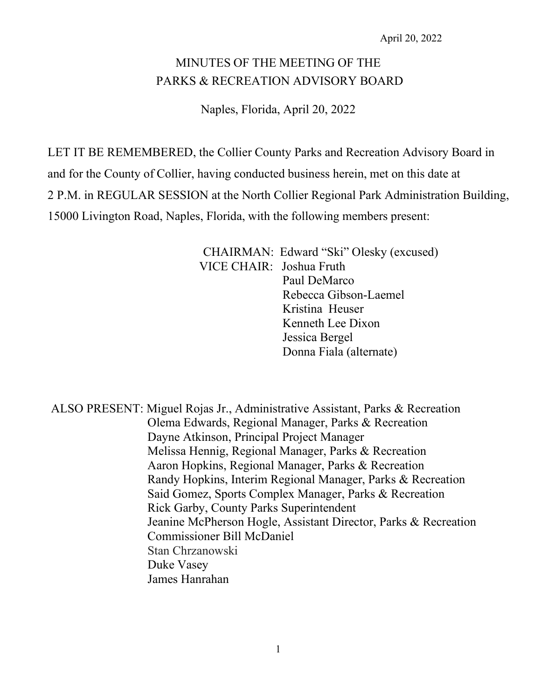# MINUTES OF THE MEETING OF THE PARKS & RECREATION ADVISORY BOARD

Naples, Florida, April 20, 2022

LET IT BE REMEMBERED, the Collier County Parks and Recreation Advisory Board in

and for the County of Collier, having conducted business herein, met on this date at

2 P.M. in REGULAR SESSION at the North Collier Regional Park Administration Building,

15000 Livington Road, Naples, Florida, with the following members present:

CHAIRMAN: Edward "Ski" Olesky (excused) VICE CHAIR: Joshua Fruth Paul DeMarco Rebecca Gibson-Laemel Kristina Heuser Kenneth Lee Dixon Jessica Bergel Donna Fiala (alternate)

ALSO PRESENT: Miguel Rojas Jr., Administrative Assistant, Parks & Recreation Olema Edwards, Regional Manager, Parks & Recreation Dayne Atkinson, Principal Project Manager Melissa Hennig, Regional Manager, Parks & Recreation Aaron Hopkins, Regional Manager, Parks & Recreation Randy Hopkins, Interim Regional Manager, Parks & Recreation Said Gomez, Sports Complex Manager, Parks & Recreation Rick Garby, County Parks Superintendent Jeanine McPherson Hogle, Assistant Director, Parks & Recreation Commissioner Bill McDaniel Stan Chrzanowski Duke Vasey James Hanrahan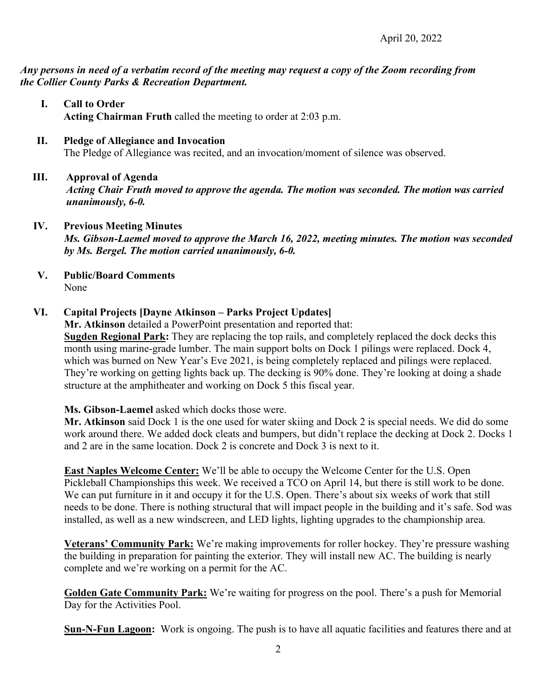### *Any persons in need of a verbatim record of the meeting may request a copy of the Zoom recording from the Collier County Parks & Recreation Department.*

### **I. Call to Order Acting Chairman Fruth** called the meeting to order at 2:03 p.m.

#### **II. Pledge of Allegiance and Invocation**  The Pledge of Allegiance was recited, and an invocation/moment of silence was observed.

# **III. Approval of Agenda**

*Acting Chair Fruth moved to approve the agenda. The motion was seconded. The motion was carried unanimously, 6-0.* 

# **IV. Previous Meeting Minutes**

*Ms. Gibson-Laemel moved to approve the March 16, 2022, meeting minutes. The motion was seconded by Ms. Bergel. The motion carried unanimously, 6-0.* 

**V. Public/Board Comments** None

# **VI. Capital Projects [Dayne Atkinson – Parks Project Updates]**

**Mr. Atkinson** detailed a PowerPoint presentation and reported that:

**Sugden Regional Park:** They are replacing the top rails, and completely replaced the dock decks this month using marine-grade lumber. The main support bolts on Dock 1 pilings were replaced. Dock 4, which was burned on New Year's Eve 2021, is being completely replaced and pilings were replaced. They're working on getting lights back up. The decking is 90% done. They're looking at doing a shade structure at the amphitheater and working on Dock 5 this fiscal year.

# **Ms. Gibson-Laemel** asked which docks those were.

**Mr. Atkinson** said Dock 1 is the one used for water skiing and Dock 2 is special needs. We did do some work around there. We added dock cleats and bumpers, but didn't replace the decking at Dock 2. Docks 1 and 2 are in the same location. Dock 2 is concrete and Dock 3 is next to it.

**East Naples Welcome Center:** We'll be able to occupy the Welcome Center for the U.S. Open Pickleball Championships this week. We received a TCO on April 14, but there is still work to be done. We can put furniture in it and occupy it for the U.S. Open. There's about six weeks of work that still needs to be done. There is nothing structural that will impact people in the building and it's safe. Sod was installed, as well as a new windscreen, and LED lights, lighting upgrades to the championship area.

**Veterans' Community Park:** We're making improvements for roller hockey. They're pressure washing the building in preparation for painting the exterior. They will install new AC. The building is nearly complete and we're working on a permit for the AC.

**Golden Gate Community Park:** We're waiting for progress on the pool. There's a push for Memorial Day for the Activities Pool.

**Sun-N-Fun Lagoon:** Work is ongoing. The push is to have all aquatic facilities and features there and at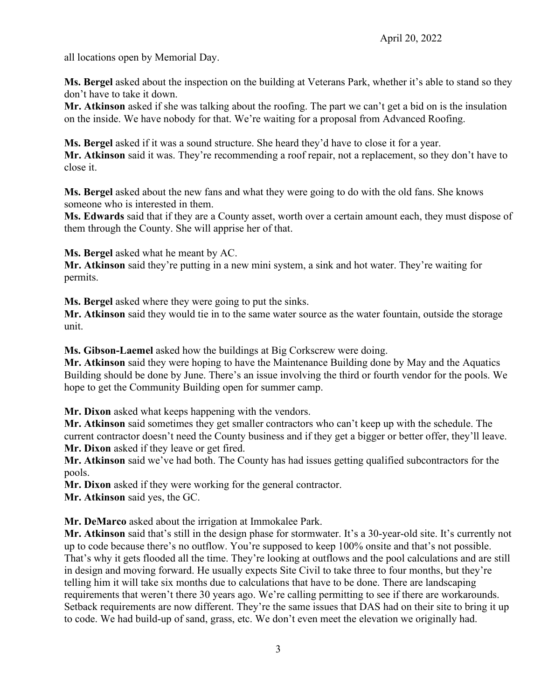all locations open by Memorial Day.

**Ms. Bergel** asked about the inspection on the building at Veterans Park, whether it's able to stand so they don't have to take it down.

**Mr. Atkinson** asked if she was talking about the roofing. The part we can't get a bid on is the insulation on the inside. We have nobody for that. We're waiting for a proposal from Advanced Roofing.

**Ms. Bergel** asked if it was a sound structure. She heard they'd have to close it for a year.

**Mr. Atkinson** said it was. They're recommending a roof repair, not a replacement, so they don't have to close it.

**Ms. Bergel** asked about the new fans and what they were going to do with the old fans. She knows someone who is interested in them.

**Ms. Edwards** said that if they are a County asset, worth over a certain amount each, they must dispose of them through the County. She will apprise her of that.

**Ms. Bergel** asked what he meant by AC.

**Mr. Atkinson** said they're putting in a new mini system, a sink and hot water. They're waiting for permits.

**Ms. Bergel** asked where they were going to put the sinks.

**Mr. Atkinson** said they would tie in to the same water source as the water fountain, outside the storage unit.

**Ms. Gibson-Laemel** asked how the buildings at Big Corkscrew were doing.

**Mr. Atkinson** said they were hoping to have the Maintenance Building done by May and the Aquatics Building should be done by June. There's an issue involving the third or fourth vendor for the pools. We hope to get the Community Building open for summer camp.

**Mr. Dixon** asked what keeps happening with the vendors.

**Mr. Atkinson** said sometimes they get smaller contractors who can't keep up with the schedule. The current contractor doesn't need the County business and if they get a bigger or better offer, they'll leave. **Mr. Dixon** asked if they leave or get fired.

**Mr. Atkinson** said we've had both. The County has had issues getting qualified subcontractors for the pools.

**Mr. Dixon** asked if they were working for the general contractor.

**Mr. Atkinson** said yes, the GC.

**Mr. DeMarco** asked about the irrigation at Immokalee Park.

**Mr. Atkinson** said that's still in the design phase for stormwater. It's a 30-year-old site. It's currently not up to code because there's no outflow. You're supposed to keep 100% onsite and that's not possible. That's why it gets flooded all the time. They're looking at outflows and the pool calculations and are still in design and moving forward. He usually expects Site Civil to take three to four months, but they're telling him it will take six months due to calculations that have to be done. There are landscaping requirements that weren't there 30 years ago. We're calling permitting to see if there are workarounds. Setback requirements are now different. They're the same issues that DAS had on their site to bring it up to code. We had build-up of sand, grass, etc. We don't even meet the elevation we originally had.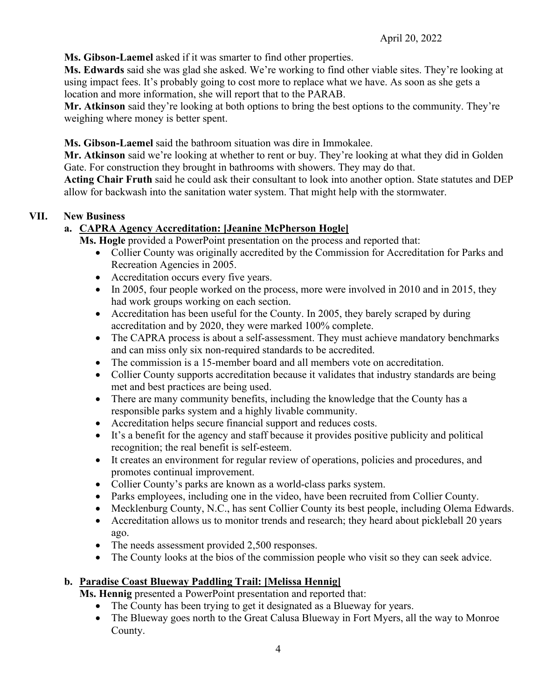**Ms. Gibson-Laemel** asked if it was smarter to find other properties.

**Ms. Edwards** said she was glad she asked. We're working to find other viable sites. They're looking at using impact fees. It's probably going to cost more to replace what we have. As soon as she gets a location and more information, she will report that to the PARAB.

**Mr. Atkinson** said they're looking at both options to bring the best options to the community. They're weighing where money is better spent.

**Ms. Gibson-Laemel** said the bathroom situation was dire in Immokalee.

**Mr. Atkinson** said we're looking at whether to rent or buy. They're looking at what they did in Golden Gate. For construction they brought in bathrooms with showers. They may do that.

**Acting Chair Fruth** said he could ask their consultant to look into another option. State statutes and DEP allow for backwash into the sanitation water system. That might help with the stormwater.

# **VII. New Business**

# **a. CAPRA Agency Accreditation: [Jeanine McPherson Hogle]**

**Ms. Hogle** provided a PowerPoint presentation on the process and reported that:

- Collier County was originally accredited by the Commission for Accreditation for Parks and Recreation Agencies in 2005.
- Accreditation occurs every five years.
- In 2005, four people worked on the process, more were involved in 2010 and in 2015, they had work groups working on each section.
- Accreditation has been useful for the County. In 2005, they barely scraped by during accreditation and by 2020, they were marked 100% complete.
- The CAPRA process is about a self-assessment. They must achieve mandatory benchmarks and can miss only six non-required standards to be accredited.
- The commission is a 15-member board and all members vote on accreditation.
- Collier County supports accreditation because it validates that industry standards are being met and best practices are being used.
- There are many community benefits, including the knowledge that the County has a responsible parks system and a highly livable community.
- Accreditation helps secure financial support and reduces costs.
- It's a benefit for the agency and staff because it provides positive publicity and political recognition; the real benefit is self-esteem.
- It creates an environment for regular review of operations, policies and procedures, and promotes continual improvement.
- Collier County's parks are known as a world-class parks system.
- Parks employees, including one in the video, have been recruited from Collier County.
- Mecklenburg County, N.C., has sent Collier County its best people, including Olema Edwards.
- Accreditation allows us to monitor trends and research; they heard about pickleball 20 years ago.
- The needs assessment provided 2,500 responses.
- The County looks at the bios of the commission people who visit so they can seek advice.

# **b. Paradise Coast Blueway Paddling Trail: [Melissa Hennig]**

**Ms. Hennig** presented a PowerPoint presentation and reported that:

- The County has been trying to get it designated as a Blueway for years.
- The Blueway goes north to the Great Calusa Blueway in Fort Myers, all the way to Monroe County.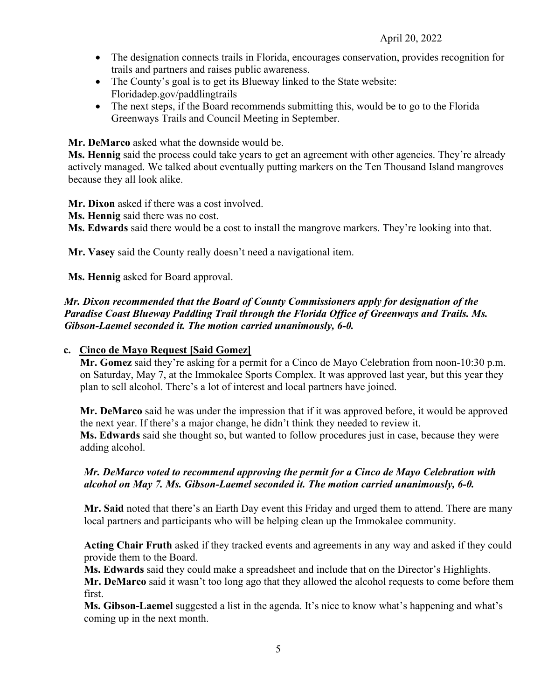- The designation connects trails in Florida, encourages conservation, provides recognition for trails and partners and raises public awareness.
- The County's goal is to get its Blueway linked to the State website: Floridadep.gov/paddlingtrails
- The next steps, if the Board recommends submitting this, would be to go to the Florida Greenways Trails and Council Meeting in September.

**Mr. DeMarco** asked what the downside would be.

**Ms. Hennig** said the process could take years to get an agreement with other agencies. They're already actively managed. We talked about eventually putting markers on the Ten Thousand Island mangroves because they all look alike.

**Mr. Dixon** asked if there was a cost involved.

**Ms. Hennig** said there was no cost.

**Ms. Edwards** said there would be a cost to install the mangrove markers. They're looking into that.

**Mr. Vasey** said the County really doesn't need a navigational item.

**Ms. Hennig** asked for Board approval.

# *Mr. Dixon recommended that the Board of County Commissioners apply for designation of the Paradise Coast Blueway Paddling Trail through the Florida Office of Greenways and Trails. Ms. Gibson-Laemel seconded it. The motion carried unanimously, 6-0.*

# **c. Cinco de Mayo Request [Said Gomez]**

**Mr. Gomez** said they're asking for a permit for a Cinco de Mayo Celebration from noon-10:30 p.m. on Saturday, May 7, at the Immokalee Sports Complex. It was approved last year, but this year they plan to sell alcohol. There's a lot of interest and local partners have joined.

**Mr. DeMarco** said he was under the impression that if it was approved before, it would be approved the next year. If there's a major change, he didn't think they needed to review it. **Ms. Edwards** said she thought so, but wanted to follow procedures just in case, because they were adding alcohol.

# *Mr. DeMarco voted to recommend approving the permit for a Cinco de Mayo Celebration with alcohol on May 7. Ms. Gibson-Laemel seconded it. The motion carried unanimously, 6-0.*

**Mr. Said** noted that there's an Earth Day event this Friday and urged them to attend. There are many local partners and participants who will be helping clean up the Immokalee community.

**Acting Chair Fruth** asked if they tracked events and agreements in any way and asked if they could provide them to the Board.

**Ms. Edwards** said they could make a spreadsheet and include that on the Director's Highlights.

**Mr. DeMarco** said it wasn't too long ago that they allowed the alcohol requests to come before them first.

**Ms. Gibson-Laemel** suggested a list in the agenda. It's nice to know what's happening and what's coming up in the next month.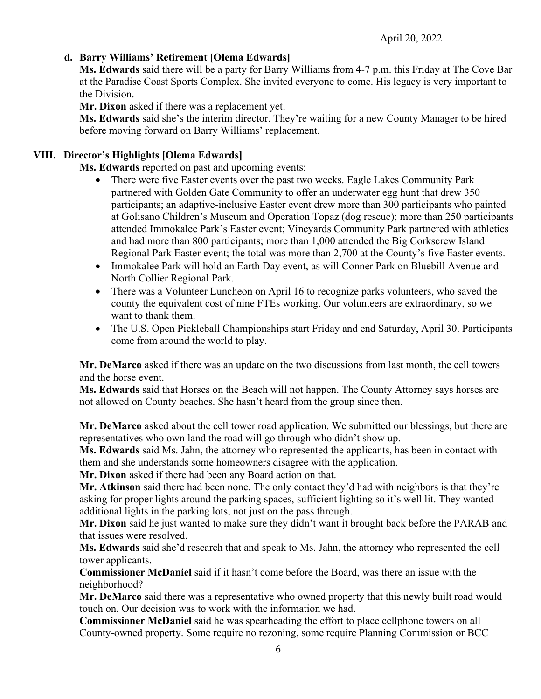# **d. Barry Williams' Retirement [Olema Edwards]**

**Ms. Edwards** said there will be a party for Barry Williams from 4-7 p.m. this Friday at The Cove Bar at the Paradise Coast Sports Complex. She invited everyone to come. His legacy is very important to the Division.

**Mr. Dixon** asked if there was a replacement yet.

**Ms. Edwards** said she's the interim director. They're waiting for a new County Manager to be hired before moving forward on Barry Williams' replacement.

# **VIII. Director's Highlights [Olema Edwards]**

**Ms. Edwards** reported on past and upcoming events:

- There were five Easter events over the past two weeks. Eagle Lakes Community Park partnered with Golden Gate Community to offer an underwater egg hunt that drew 350 participants; an adaptive-inclusive Easter event drew more than 300 participants who painted at Golisano Children's Museum and Operation Topaz (dog rescue); more than 250 participants attended Immokalee Park's Easter event; Vineyards Community Park partnered with athletics and had more than 800 participants; more than 1,000 attended the Big Corkscrew Island Regional Park Easter event; the total was more than 2,700 at the County's five Easter events.
- Immokalee Park will hold an Earth Day event, as will Conner Park on Bluebill Avenue and North Collier Regional Park.
- There was a Volunteer Luncheon on April 16 to recognize parks volunteers, who saved the county the equivalent cost of nine FTEs working. Our volunteers are extraordinary, so we want to thank them.
- The U.S. Open Pickleball Championships start Friday and end Saturday, April 30. Participants come from around the world to play.

**Mr. DeMarco** asked if there was an update on the two discussions from last month, the cell towers and the horse event.

**Ms. Edwards** said that Horses on the Beach will not happen. The County Attorney says horses are not allowed on County beaches. She hasn't heard from the group since then.

**Mr. DeMarco** asked about the cell tower road application. We submitted our blessings, but there are representatives who own land the road will go through who didn't show up.

**Ms. Edwards** said Ms. Jahn, the attorney who represented the applicants, has been in contact with them and she understands some homeowners disagree with the application.

**Mr. Dixon** asked if there had been any Board action on that.

**Mr. Atkinson** said there had been none. The only contact they'd had with neighbors is that they're asking for proper lights around the parking spaces, sufficient lighting so it's well lit. They wanted additional lights in the parking lots, not just on the pass through.

**Mr. Dixon** said he just wanted to make sure they didn't want it brought back before the PARAB and that issues were resolved.

**Ms. Edwards** said she'd research that and speak to Ms. Jahn, the attorney who represented the cell tower applicants.

**Commissioner McDaniel** said if it hasn't come before the Board, was there an issue with the neighborhood?

**Mr. DeMarco** said there was a representative who owned property that this newly built road would touch on. Our decision was to work with the information we had.

**Commissioner McDaniel** said he was spearheading the effort to place cellphone towers on all County-owned property. Some require no rezoning, some require Planning Commission or BCC